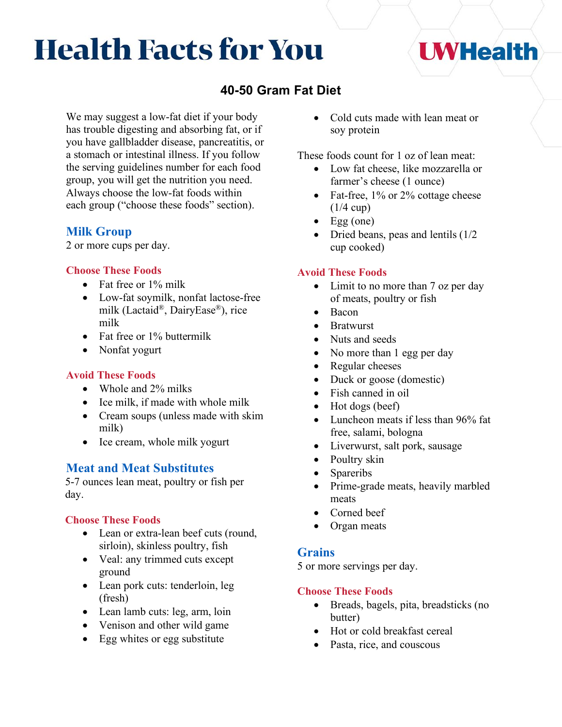# **Health Facts for You**

# **40-50 Gram Fat Diet**

We may suggest a low-fat diet if your body has trouble digesting and absorbing fat, or if you have gallbladder disease, pancreatitis, or a stomach or intestinal illness. If you follow the serving guidelines number for each food group, you will get the nutrition you need. Always choose the low-fat foods within each group ("choose these foods" section).

# **Milk Group**

2 or more cups per day.

#### **Choose These Foods**

- Fat free or 1% milk
- Low-fat soymilk, nonfat lactose-free milk (Lactaid®, DairyEase®), rice milk
- Fat free or 1% buttermilk
- Nonfat yogurt

#### **Avoid These Foods**

- Whole and 2% milks
- Ice milk, if made with whole milk
- Cream soups (unless made with skim milk)
- Ice cream, whole milk yogurt

# **Meat and Meat Substitutes**

5-7 ounces lean meat, poultry or fish per day.

#### **Choose These Foods**

- Lean or extra-lean beef cuts (round, sirloin), skinless poultry, fish
- Veal: any trimmed cuts except ground
- Lean pork cuts: tenderloin, leg (fresh)
- Lean lamb cuts: leg, arm, loin
- Venison and other wild game
- Egg whites or egg substitute

• Cold cuts made with lean meat or soy protein

**UWHealth** 

These foods count for 1 oz of lean meat:

- Low fat cheese, like mozzarella or farmer's cheese (1 ounce)
- Fat-free, 1% or 2% cottage cheese  $(1/4 \text{ cup})$
- Egg (one)
- Dried beans, peas and lentils (1/2) cup cooked)

#### **Avoid These Foods**

- Limit to no more than 7 oz per day of meats, poultry or fish
- Bacon
- Bratwurst
- Nuts and seeds
- No more than 1 egg per day
- Regular cheeses
- Duck or goose (domestic)
- Fish canned in oil
- Hot dogs (beef)
- Luncheon meats if less than 96% fat free, salami, bologna
- Liverwurst, salt pork, sausage
- Poultry skin
- Spareribs
- Prime-grade meats, heavily marbled meats
- Corned beef
- Organ meats

# **Grains**

5 or more servings per day.

#### **Choose These Foods**

- Breads, bagels, pita, breadsticks (no butter)
- Hot or cold breakfast cereal
- Pasta, rice, and couscous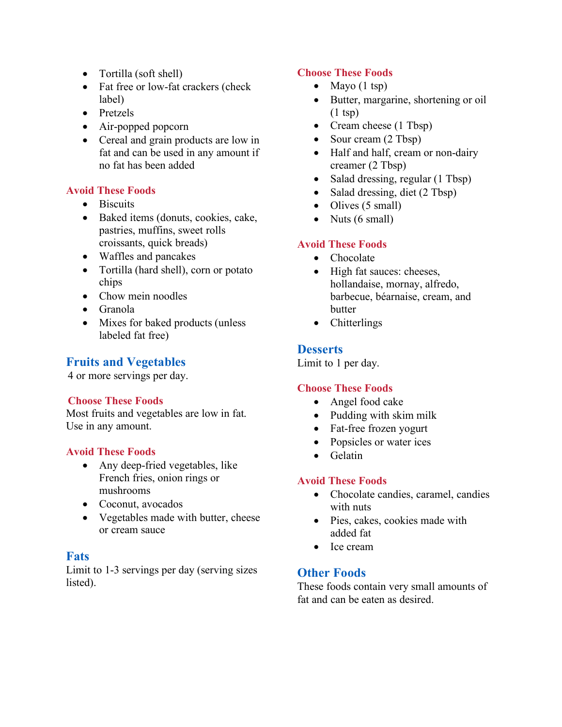- Tortilla (soft shell)
- Fat free or low-fat crackers (check label)
- Pretzels
- Air-popped popcorn
- Cereal and grain products are low in fat and can be used in any amount if no fat has been added

# **Avoid These Foods**

- Biscuits
- Baked items (donuts, cookies, cake, pastries, muffins, sweet rolls croissants, quick breads)
- Waffles and pancakes
- Tortilla (hard shell), corn or potato chips
- Chow mein noodles
- Granola
- Mixes for baked products (unless labeled fat free)

# **Fruits and Vegetables**

4 or more servings per day.

#### **Choose These Foods**

Most fruits and vegetables are low in fat. Use in any amount.

#### **Avoid These Foods**

- Any deep-fried vegetables, like French fries, onion rings or mushrooms
- Coconut, avocados
- Vegetables made with butter, cheese or cream sauce

# **Fats**

Limit to 1-3 servings per day (serving sizes listed).

# **Choose These Foods**

- Mayo  $(1 \text{ tsp})$
- Butter, margarine, shortening or oil  $(1 \text{ tsp})$
- Cream cheese (1 Tbsp)
- Sour cream (2 Tbsp)
- Half and half, cream or non-dairy creamer (2 Tbsp)
- Salad dressing, regular (1 Tbsp)
- Salad dressing, diet (2 Tbsp)
- Olives (5 small)
- Nuts  $(6 \text{ small})$

# **Avoid These Foods**

- Chocolate
- High fat sauces: cheeses, hollandaise, mornay, alfredo, barbecue, béarnaise, cream, and butter
- Chitterlings

# **Desserts**

Limit to 1 per day.

# **Choose These Foods**

- Angel food cake
- Pudding with skim milk
- Fat-free frozen yogurt
- Popsicles or water ices
- Gelatin

# **Avoid These Foods**

- Chocolate candies, caramel, candies with nuts
- Pies, cakes, cookies made with added fat
- Ice cream

# **Other Foods**

These foods contain very small amounts of fat and can be eaten as desired.